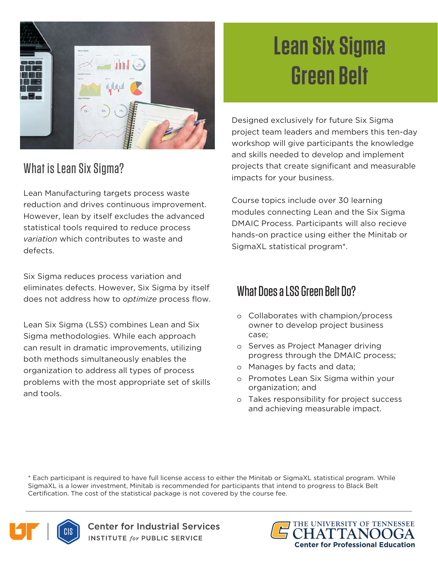

## What is Lean Six Sigma?

Lean Manufacturing targets process waste reduction and drives continuous improvement. However, lean by itself excludes the advanced statistical tools required to reduce process *variation* which contributes to waste and defects.

Six Sigma reduces process variation and eliminates defects. However, Six Sigma by itself does not address how to *optimize* process flow.

Lean Six Sigma (LSS) combines Lean and Six Sigma methodologies. While each approach can result in dramatic improvements, utilizing both methods simultaneously enables the organization to address all types of process problems with the most appropriate set of skills and tools.

## **Lean Six Sigma Green Belt**

Designed exclusively for future Six Sigma project team leaders and members this ten-day workshop will give participants the knowledge and skills needed to develop and implement projects that create significant and measurable impacts for your business.

Course topics include over 30 learning modules connecting Lean and the Six Sigma DMAIC Process. Participants will also recieve hands-on practice using either the Minitab or SigmaXL statistical program\*.

## What Does a LSS Green Belt Do?

- o Collaborates with champion/process owner to develop project business case;
- o Serves as Project Manager driving progress through the DMAIC process;
- o Manages by facts and data;
- o Promotes Lean Six Sigma within your organization; and
- o Takes responsibility for project success and achieving measurable impact.

\* Each participant is required to have full license access to either the Minitab or SigmaXL statistical program. While SigmaXL is a lower investment, Minitab is recommended for participants that intend to progress to Black Belt Certification. The cost of the statistical package is not covered by the course fee.